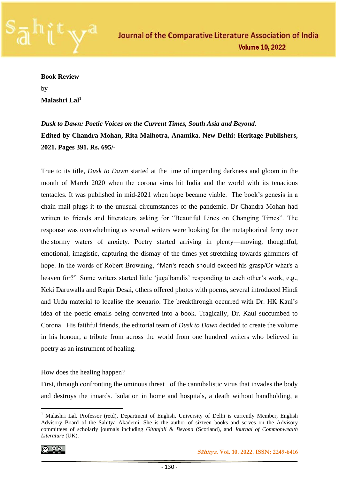

**Book Review** 

by **Malashri Lal<sup>1</sup>**

*Dusk to Dawn: Poetic Voices on the Current Times, South Asia and Beyond.* **Edited by Chandra Mohan, Rita Malhotra, Anamika. New Delhi: Heritage Publishers, 2021. Pages 391. Rs. 695/-** 

True to its title*, Dusk to Dawn* started at the time of impending darkness and gloom in the month of March 2020 when the corona virus hit India and the world with its tenacious tentacles. It was published in mid-2021 when hope became viable. The book's genesis in a chain mail plugs it to the unusual circumstances of the pandemic. Dr Chandra Mohan had written to friends and litterateurs asking for "Beautiful Lines on Changing Times". The response was overwhelming as several writers were looking for the metaphorical ferry over the stormy waters of anxiety. Poetry started arriving in plenty—moving, thoughtful, emotional, imagistic, capturing the dismay of the times yet stretching towards glimmers of hope. In the words of Robert Browning, "Man's reach should exceed his grasp/Or what's a heaven for?" Some writers started little 'jugalbandis' responding to each other's work, e.g., Keki Daruwalla and Rupin Desai, others offered photos with poems, several introduced Hindi and Urdu material to localise the scenario. The breakthrough occurred with Dr. HK Kaul's idea of the poetic emails being converted into a book. Tragically, Dr. Kaul succumbed to Corona. His faithful friends, the editorial team of *Dusk to Dawn* decided to create the volume in his honour, a tribute from across the world from one hundred writers who believed in poetry as an instrument of healing.

## How does the healing happen?

First, through confronting the ominous threat of the cannibalistic virus that invades the body and destroys the innards. Isolation in home and hospitals, a death without handholding, a

$$
\textcircled{\tiny{\textcircled{\#}}}
$$

 **Sāhitya. Vol. 10. 2022. ISSN: 2249-6416**

<sup>&</sup>lt;sup>1</sup> Malashri Lal. Professor (retd), Department of English, University of Delhi is currently Member, English Advisory Board of the Sahitya Akademi. She is the author of sixteen books and serves on the Advisory committees of scholarly journals including *Gitanjali & Beyond* (Scotland), and *Journal of Commonwealth Literature* (UK).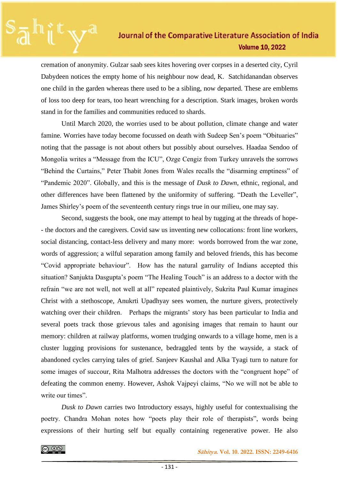## Journal of the Comparative Literature Association of India **Volume 10, 2022**

cremation of anonymity. Gulzar saab sees kites hovering over corpses in a deserted city, Cyril Dabydeen notices the empty home of his neighbour now dead, K. Satchidanandan observes one child in the garden whereas there used to be a sibling, now departed. These are emblems of loss too deep for tears, too heart wrenching for a description. Stark images, broken words stand in for the families and communities reduced to shards.

Until March 2020, the worries used to be about pollution, climate change and water famine. Worries have today become focussed on death with Sudeep Sen's poem "Obituaries" noting that the passage is not about others but possibly about ourselves. Haadaa Sendoo of Mongolia writes a "Message from the ICU", Ozge Cengiz from Turkey unravels the sorrows "Behind the Curtains," Peter Thabit Jones from Wales recalls the "disarming emptiness" of "Pandemic 2020". Globally, and this is the message of *Dusk to Dawn,* ethnic, regional, and other differences have been flattened by the uniformity of suffering. "Death the Leveller", James Shirley's poem of the seventeenth century rings true in our milieu, one may say.

Second, suggests the book, one may attempt to heal by tugging at the threads of hope- - the doctors and the caregivers. Covid saw us inventing new collocations: front line workers, social distancing, contact-less delivery and many more: words borrowed from the war zone, words of aggression; a wilful separation among family and beloved friends, this has become "Covid appropriate behaviour". How has the natural garrulity of Indians accepted this situation? Sanjukta Dasgupta's poem "The Healing Touch" is an address to a doctor with the refrain "we are not well, not well at all" repeated plaintively, Sukrita Paul Kumar imagines Christ with a stethoscope, Anukrti Upadhyay sees women, the nurture givers, protectively watching over their children. Perhaps the migrants' story has been particular to India and several poets track those grievous tales and agonising images that remain to haunt our memory: children at railway platforms, women trudging onwards to a village home, men is a cluster lugging provisions for sustenance, bedraggled tents by the wayside, a stack of abandoned cycles carrying tales of grief. Sanjeev Kaushal and Alka Tyagi turn to nature for some images of succour, Rita Malhotra addresses the doctors with the "congruent hope" of defeating the common enemy. However, Ashok Vajpeyi claims, "No we will not be able to write our times".

*Dusk to Dawn* carries two Introductory essays, highly useful for contextualising the poetry. Chandra Mohan notes how "poets play their role of therapists", words being expressions of their hurting self but equally containing regenerative power. He also